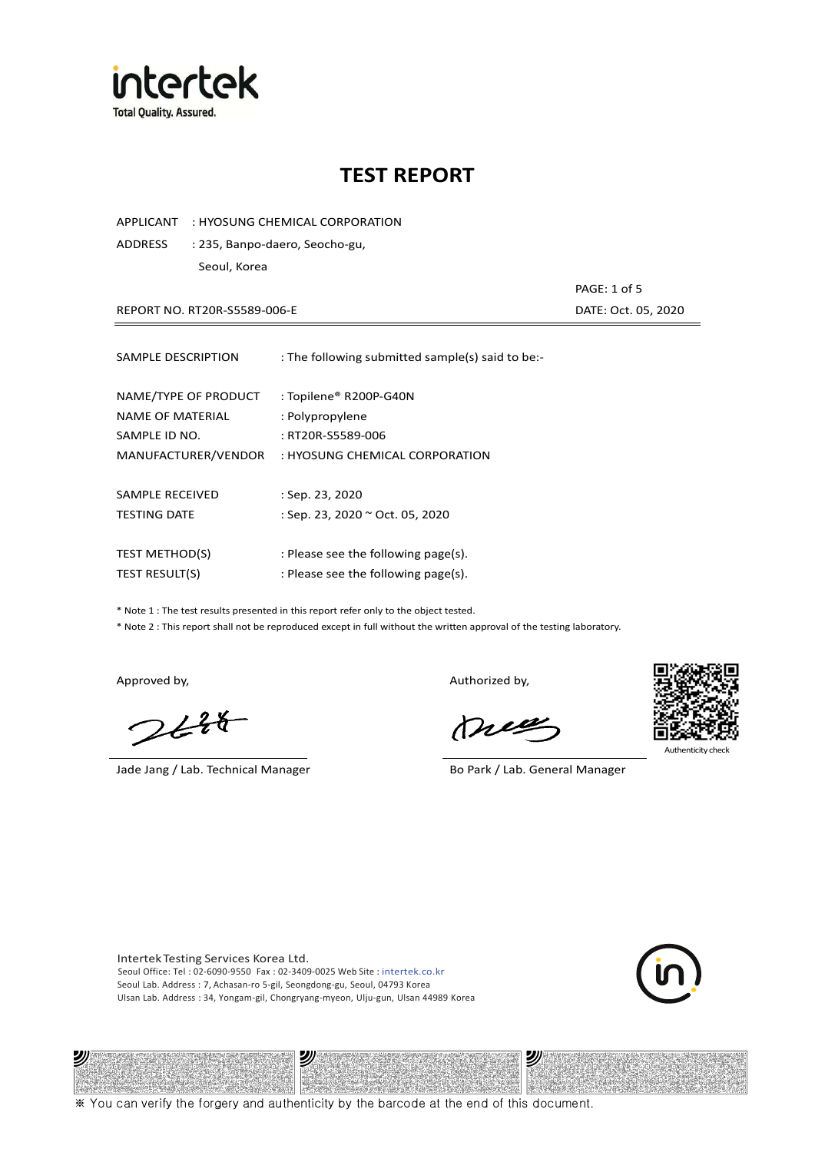

APPLICANT : HYOSUNG CHEMICAL CORPORATION

ADDRESS : 235, Banpo-daero, Seocho-gu, Seoul, Korea

REPORT NO. RT20R-S5589-006-E DATE: Oct. 05, 2020

PAGE: 1 of 5

| SAMPLE DESCRIPTION                                                               | : The following submitted sample(s) said to be:-                                                 |
|----------------------------------------------------------------------------------|--------------------------------------------------------------------------------------------------|
| NAME/TYPE OF PRODUCT<br>NAME OF MATERIAL<br>SAMPLE ID NO.<br>MANUFACTURER/VENDOR | : Topilene® R200P-G40N<br>: Polypropylene<br>: RT20R-S5589-006<br>: HYOSUNG CHEMICAL CORPORATION |
| SAMPLE RECEIVED<br><b>TESTING DATE</b>                                           | : Sep. 23, 2020<br>: Sep. 23, 2020 ~ Oct. 05, 2020                                               |
| <b>TEST METHOD(S)</b>                                                            | : Please see the following page(s).                                                              |
| <b>TEST RESULT(S)</b>                                                            | : Please see the following page(s).                                                              |

\* Note 1 : The test results presented in this report refer only to the object tested.

\* Note 2 : This report shall not be reproduced except in full without the written approval of the testing laboratory.

沙

 $2648$ 

Jade Jang / Lab. Technical Manager Bo Park / Lab. General Manager

Approved by, and the control of the control of the Authorized by,

Mie



沙

Intertek Testing Services Korea Ltd. Seoul Office: Tel : 02-6090-9550 Fax : 02-3409-0025 Web Site : intertek.co.kr Seoul Lab. Address : 7, Achasan-ro 5-gil, Seongdong-gu, Seoul, 04793 Korea Ulsan Lab. Address : 34, Yongam-gil, Chongryang-myeon, Ulju-gun, Ulsan 44989 Korea

ッ

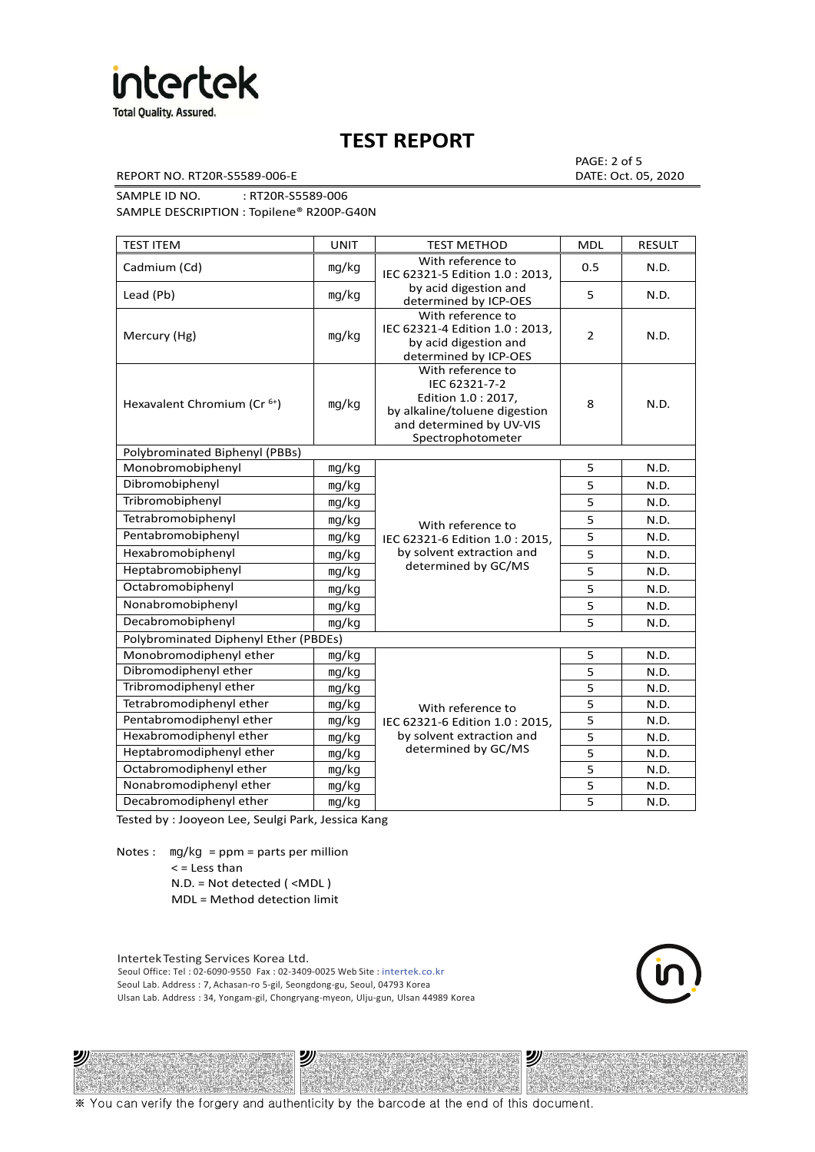

REPORT NO. RT20R-S5589-006-E DATE: Oct. 05, 2020

PAGE: 2 of 5

SAMPLE ID NO. : RT20R-S5589-006 SAMPLE DESCRIPTION : Topilene® R200P-G40N

| <b>TEST ITEM</b>                        | <b>UNIT</b> | <b>TEST METHOD</b>                                                                                                                          | <b>MDL</b>     | <b>RESULT</b> |
|-----------------------------------------|-------------|---------------------------------------------------------------------------------------------------------------------------------------------|----------------|---------------|
| Cadmium (Cd)                            | mg/kg       | With reference to<br>IEC 62321-5 Edition 1.0 : 2013,                                                                                        | 0.5            | N.D.          |
| Lead (Pb)                               | mg/kg       | by acid digestion and<br>determined by ICP-OES                                                                                              | 5              | N.D.          |
| Mercury (Hg)                            | mg/kg       | With reference to<br>IEC 62321-4 Edition 1.0: 2013,<br>by acid digestion and<br>determined by ICP-OES                                       | $\overline{2}$ | N.D.          |
| Hexavalent Chromium (Cr <sup>6+</sup> ) | mg/kg       | With reference to<br>IEC 62321-7-2<br>Edition 1.0 : 2017,<br>by alkaline/toluene digestion<br>and determined by UV-VIS<br>Spectrophotometer | 8              | N.D.          |
| Polybrominated Biphenyl (PBBs)          |             |                                                                                                                                             |                |               |
| Monobromobiphenyl                       | mg/kg       |                                                                                                                                             | 5              | N.D.          |
| Dibromobiphenyl                         | mg/kg       |                                                                                                                                             | 5              | N.D.          |
| Tribromobiphenyl                        | mg/kg       |                                                                                                                                             | 5              | N.D.          |
| Tetrabromobiphenyl                      | mg/kg       | With reference to                                                                                                                           | 5              | N.D.          |
| Pentabromobiphenyl                      | mg/kg       | IEC 62321-6 Edition 1.0: 2015,                                                                                                              | 5              | N.D.          |
| Hexabromobiphenyl                       | mg/kg       | by solvent extraction and                                                                                                                   | 5              | N.D.          |
| Heptabromobiphenyl                      | mg/kg       | determined by GC/MS                                                                                                                         | 5              | N.D.          |
| Octabromobiphenyl                       | mg/kg       |                                                                                                                                             | 5              | N.D.          |
| Nonabromobiphenyl                       | mg/kg       |                                                                                                                                             | 5              | N.D.          |
| Decabromobiphenyl                       | mg/kg       |                                                                                                                                             | 5              | N.D.          |
| Polybrominated Diphenyl Ether (PBDEs)   |             |                                                                                                                                             |                |               |
| Monobromodiphenyl ether                 | mg/kg       |                                                                                                                                             | 5              | N.D.          |
| Dibromodiphenyl ether                   | mg/kg       |                                                                                                                                             | 5              | N.D.          |
| Tribromodiphenyl ether                  | mg/kg       |                                                                                                                                             | 5              | N.D.          |
| Tetrabromodiphenyl ether                | mg/kg       | With reference to                                                                                                                           | 5              | N.D.          |
| Pentabromodiphenyl ether                | mg/kg       | IEC 62321-6 Edition 1.0 : 2015,                                                                                                             | 5              | N.D.          |
| Hexabromodiphenyl ether                 | mg/kg       | by solvent extraction and                                                                                                                   | 5              | N.D.          |
| Heptabromodiphenyl ether                | mg/kg       | determined by GC/MS                                                                                                                         | 5              | N.D.          |
| Octabromodiphenyl ether                 | mg/kg       |                                                                                                                                             | 5              | N.D.          |
| Nonabromodiphenyl ether                 | mg/kg       |                                                                                                                                             | 5              | N.D.          |
| Decabromodiphenyl ether<br>mg/kg        |             |                                                                                                                                             | 5              | N.D.          |

Tested by : Jooyeon Lee, Seulgi Park, Jessica Kang

Notes : mg/kg = ppm = parts per million < = Less than

沙

N.D. = Not detected ( <MDL )

MDL = Method detection limit

Intertek Testing Services Korea Ltd. Seoul Office: Tel : 02-6090-9550 Fax : 02-3409-0025 Web Site : intertek.co.kr Seoul Lab. Address : 7, Achasan-ro 5-gil, Seongdong-gu, Seoul, 04793 Korea Ulsan Lab. Address : 34, Yongam-gil, Chongryang-myeon, Ulju-gun, Ulsan 44989 Korea

沙



沙

※ You can verify the forgery and authenticity by the barcode at the end of this document.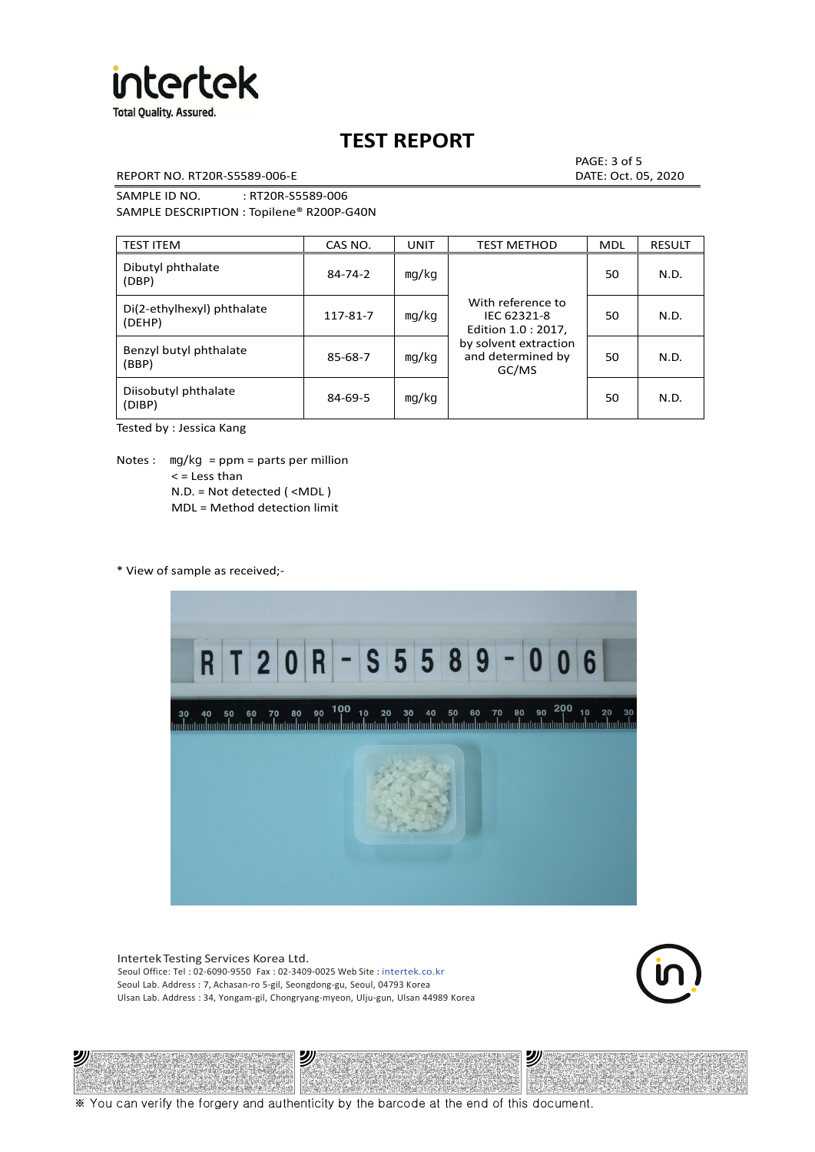

REPORT NO. RT20R-S5589-006-E DATE: Oct. 05, 2020

PAGE: 3 of 5

SAMPLE ID NO. : RT20R-S5589-006 SAMPLE DESCRIPTION : Topilene® R200P-G40N

| <b>TEST ITEM</b>                     | CAS NO.       | <b>UNIT</b> | <b>TEST METHOD</b>                                      | <b>MDL</b> | <b>RESULT</b> |
|--------------------------------------|---------------|-------------|---------------------------------------------------------|------------|---------------|
| Dibutyl phthalate<br>(DBP)           | $84 - 74 - 2$ | mq/kg       | With reference to<br>IEC 62321-8<br>Edition 1.0 : 2017, | 50         | N.D.          |
| Di(2-ethylhexyl) phthalate<br>(DEHP) | 117-81-7      | mg/kg       |                                                         | 50         | N.D.          |
| Benzyl butyl phthalate<br>(BBP)      | 85-68-7       | mq/kg       | by solvent extraction<br>and determined by<br>GC/MS     | 50         | N.D.          |
| Diisobutyl phthalate<br>(DIBP)       | $84 - 69 - 5$ | mg/kg       |                                                         | 50         | N.D.          |

Tested by : Jessica Kang

Notes :  $mq/kg = ppm = parts per million$  $<$  = Less than N.D. = Not detected ( <MDL ) MDL = Method detection limit

\* View of sample as received;-



Intertek Testing Services Korea Ltd. Seoul Office: Tel : 02-6090-9550 Fax : 02-3409-0025 Web Site : intertek.co.kr Seoul Lab. Address : 7, Achasan-ro 5-gil, Seongdong-gu, Seoul, 04793 Korea Ulsan Lab. Address : 34, Yongam-gil, Chongryang-myeon, Ulju-gun, Ulsan 44989 Korea





※ You can verify the forgery and authenticity by the barcode at the end of this document.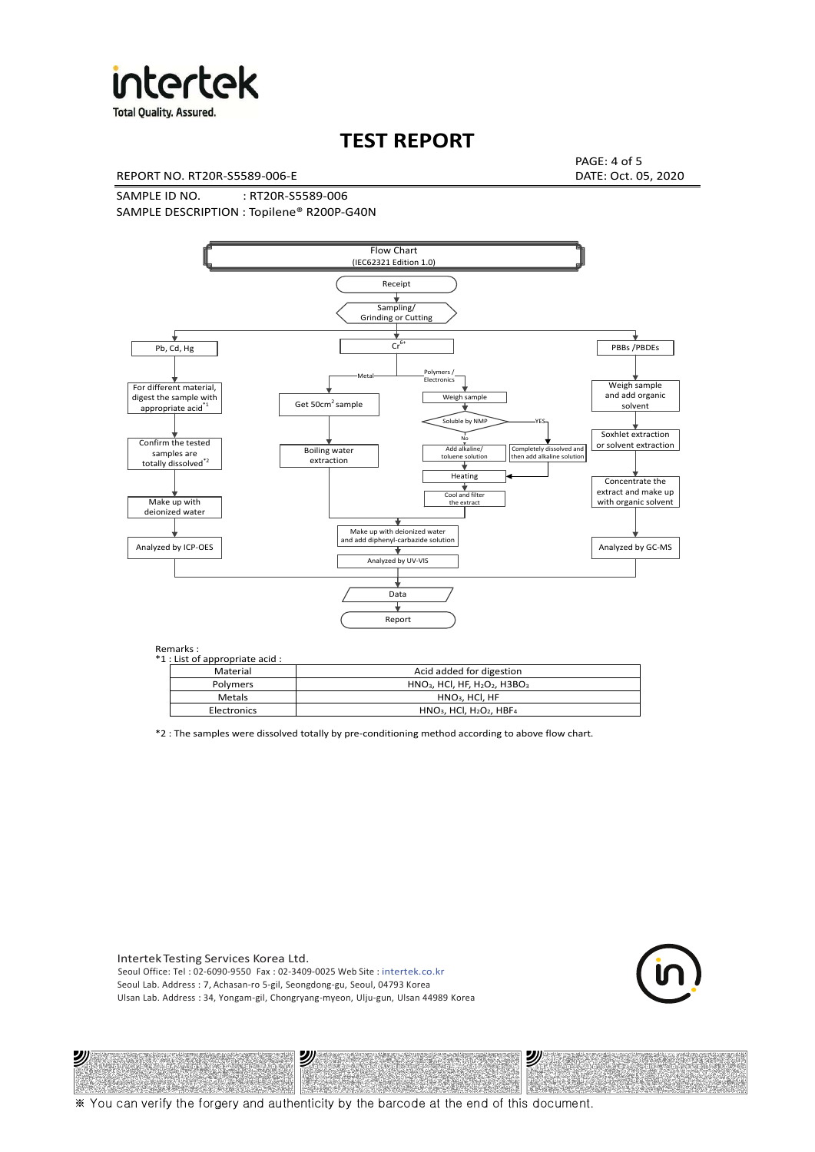

**Total Quality. Assured.** 

# **TEST REPORT**

REPORT NO. RT20R-S5589-006-E DATE: Oct. 05, 2020

PAGE: 4 of 5

SAMPLE ID NO. : RT20R-S5589-006 SAMPLE DESCRIPTION : Topilene® R200P-G40N



| *1 : List of appropriate acid : |                                                                     |
|---------------------------------|---------------------------------------------------------------------|
| Material                        | Acid added for digestion                                            |
| Polymers                        | $HNO3$ , HCl, HF, H <sub>2</sub> O <sub>2</sub> , H3BO <sub>3</sub> |
| Metals                          | $HNO3$ , HCl, HF                                                    |
| Electronics                     | $HNO3$ , HCl, H <sub>2</sub> O <sub>2</sub> , HBF <sub>4</sub>      |

\*2 : The samples were dissolved totally by pre-conditioning method according to above flow chart.

Intertek Testing Services Korea Ltd. Seoul Office: Tel : 02-6090-9550 Fax : 02-3409-0025 Web Site : intertek.co.kr Seoul Lab. Address : 7, Achasan-ro 5-gil, Seongdong-gu, Seoul, 04793 Korea Ulsan Lab. Address : 34, Yongam-gil, Chongryang-myeon, Ulju-gun, Ulsan 44989 Korea

沙

沙



沙